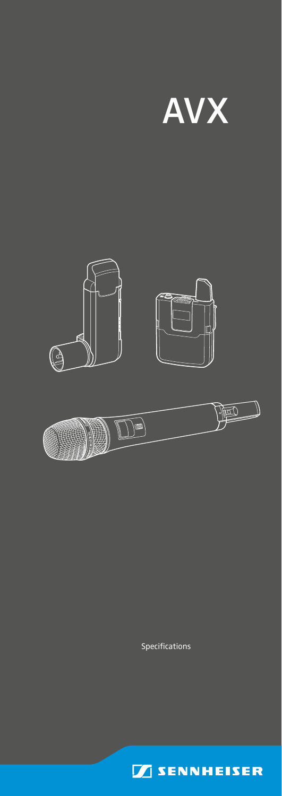





Specifications

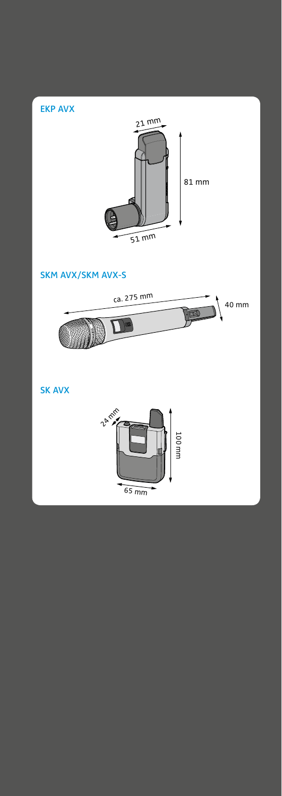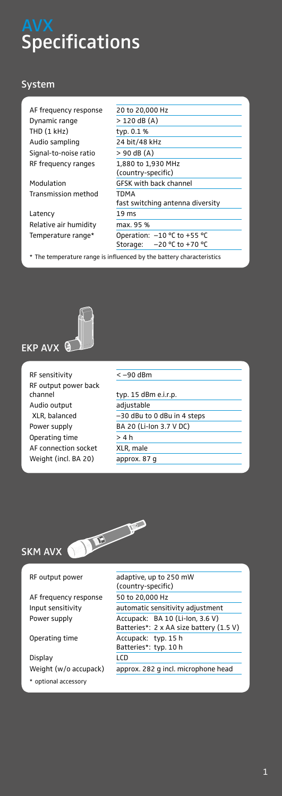# **Specifications**

## System

| AF frequency response | 20 to 20,000 Hz                                                      |  |  |
|-----------------------|----------------------------------------------------------------------|--|--|
| Dynamic range         | $> 120$ dB (A)                                                       |  |  |
| THD (1 kHz)           | typ. 0.1 %                                                           |  |  |
| Audio sampling        | 24 bit/48 kHz                                                        |  |  |
| Signal-to-noise ratio | $> 90$ dB (A)                                                        |  |  |
| RF frequency ranges   | 1,880 to 1,930 MHz                                                   |  |  |
|                       | (country-specific)                                                   |  |  |
| Modulation            | <b>GFSK with back channel</b>                                        |  |  |
| Transmission method   | TDMA                                                                 |  |  |
|                       | fast switching antenna diversity                                     |  |  |
| Latency               | 19 <sub>ms</sub>                                                     |  |  |
| Relative air humidity | max. 95 %                                                            |  |  |
| Temperature range*    | Operation: $-10$ °C to +55 °C                                        |  |  |
|                       | Storage:<br>$-20$ °C to +70 °C                                       |  |  |
|                       | * The temperature range is influenced by the battery characteristics |  |  |



RF sensitivity  $\sqrt{2-90}$  dBm RF output power back channel Audio output XLR, balanced Power supply Operating time AF connection socket Weight (incl. BA 20)

| typ. 15 dBm e.i.r.p.        |
|-----------------------------|
| adjustable                  |
| -30 dBu to 0 dBu in 4 steps |
| BA 20 (Li-lon 3.7 V DC)     |
| >4 h                        |
| XLR, male                   |
| approx. 87 q                |
|                             |



AF frequency response 50 to 20,000 Hz

Display LCD

\* optional accessory

RF output power adaptive, up to 250 mW (country-specific) Input sensitivity automatic sensitivity adjustment Power supply **Accupack:** BA 10 (Li-lon, 3.6 V) Batteries\*: 2 x AA size battery (1.5 V) Operating time Accupack: typ. 15 h Batteries\*: typ. 10 h Weight (w/o accupack) approx. 282 g incl. microphone head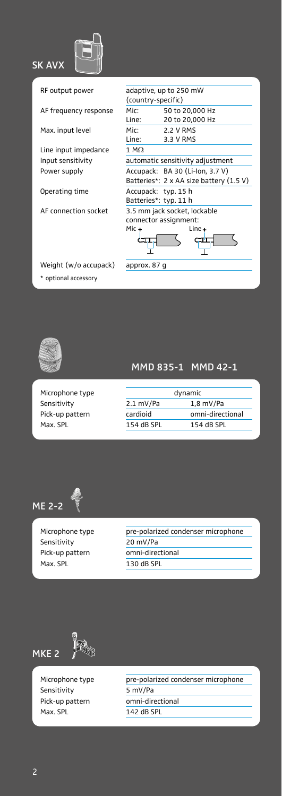

RF output power

AF frequency response

Max. input level

Line input impedance Input sensitivity Power supply

Operating time

AF connection socket

| (country-specific) | adaptive, up to 250 mW                  |
|--------------------|-----------------------------------------|
| Mic:               | 50 to 20,000 Hz                         |
| Line:              | 20 to 20,000 Hz                         |
| Mic:               | 2.2 V RMS                               |
| Line:              | 3.3 V RMS                               |
| $1 M\Omega$        |                                         |
|                    | automatic sensitivity adjustment        |
|                    | Accupack: BA 30 (Li-lon, 3.7 V)         |
|                    | Batteries*: 2 x AA size battery (1.5 V) |
|                    | Accupack: typ. 15 h                     |
|                    | Batteries*: typ. 11 h                   |
|                    | 3.5 mm jack socket, lockable            |
|                    | connector assignment:                   |
| Mic +              | Line +                                  |
|                    |                                         |
|                    |                                         |
| annrov 97 a        |                                         |
|                    |                                         |

Weight (w/o accupack) approx. 87 g \* optional accessory



Microphone type Sensitivity Pick-up pattern Max. SPL

## MMD 835-1 MMD 42-1

| dynamic    |                  |  |
|------------|------------------|--|
| 2.1 mV/Pa  | $1,8$ mV/Pa      |  |
| cardioid   | omni-directional |  |
| 154 dB SPL | 154 dB SPI       |  |



Sensitivity 20 mV/Pa Max. SPL 130 dB SPL

Microphone type pre-polarized condenser microphone Pick-up pattern omni-directional



Sensitivity 5 mV/Pa Pick-up pattern omni-directional Max. SPL 142 dB SPL

Microphone type **pre-polarized condenser microphone**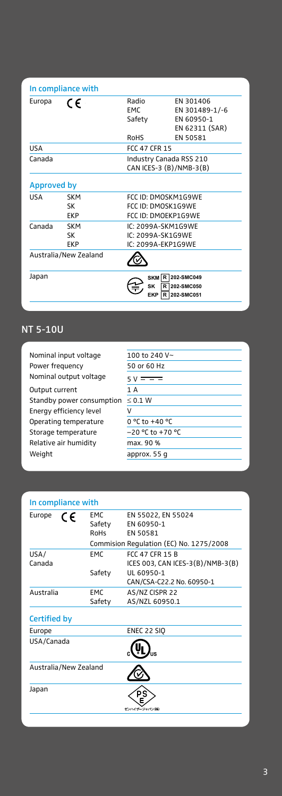|             | In compliance with             |                                                                  |                                                               |
|-------------|--------------------------------|------------------------------------------------------------------|---------------------------------------------------------------|
| Europa      | CE                             | Radio<br><b>FMC</b><br>Safety                                    | FN 301406<br>EN 301489-1/-6<br>FN 60950-1<br>EN 62311 (SAR)   |
| <b>USA</b>  |                                | RoHS<br><b>FCC 47 CFR 15</b>                                     | EN 50581                                                      |
| Canada      |                                | Industry Canada RSS 210<br>CAN ICES-3 (B)/NMB-3(B)               |                                                               |
| Approved by |                                |                                                                  |                                                               |
| <b>USA</b>  | <b>SKM</b><br>SK<br><b>FKP</b> | FCC ID: DMOSKM1G9WF<br>FCC ID: DMOSK1G9WE<br>FCC ID: DMOFKP1G9WF |                                                               |
| Canada      | <b>SKM</b><br>SK<br><b>FKP</b> | IC: 2099A-SKM1G9WF<br>IC: 2099A-SK1G9WF<br>IC: 2099A-FKP1G9WF    |                                                               |
|             | Australia/New Zealand          |                                                                  |                                                               |
| Japan       |                                | SK<br><b>EKP</b>                                                 | <b>SKM R 202-SMC049</b><br>202-SMC050<br>R<br>R<br>202-SMC051 |

## NT 5-10U

| Nominal input voltage     | 100 to 240 V~        |
|---------------------------|----------------------|
| Power frequency           | 50 or 60 Hz          |
| Nominal output voltage    | $5V = -$             |
| Output current            | 1 A                  |
| Standby power consumption | < 0.1 W              |
| Energy efficiency level   |                      |
| Operating temperature     | 0 °C to +40 °C       |
| Storage temperature       | $-20$ °C to $+70$ °C |
| Relative air humidity     | max. 90 %            |
| Weight                    | approx. 55 g         |
|                           |                      |

| In compliance with           |                                                            |
|------------------------------|------------------------------------------------------------|
| <b>EMC</b><br>Safety<br>RoHs | EN 55022, EN 55024<br>FN 60950-1<br><b>FN 50581</b>        |
|                              | Commision Regulation (EC) No. 1275/2008                    |
| <b>FMC</b>                   | <b>FCC 47 CFR 15 B</b><br>ICES 003, CAN ICES-3(B)/NMB-3(B) |
| Safety                       | UL 60950-1<br>CAN/CSA-C22.2 No. 60950-1                    |
| <b>EMC</b><br>Safety         | AS/NZ CISPR 22<br>AS/NZL 60950.1                           |
|                              |                                                            |
|                              | ENEC 22 SIQ                                                |
|                              |                                                            |
|                              |                                                            |
|                              | ゼンハイザージャパン(株)                                              |
|                              | Australia/New Zealand                                      |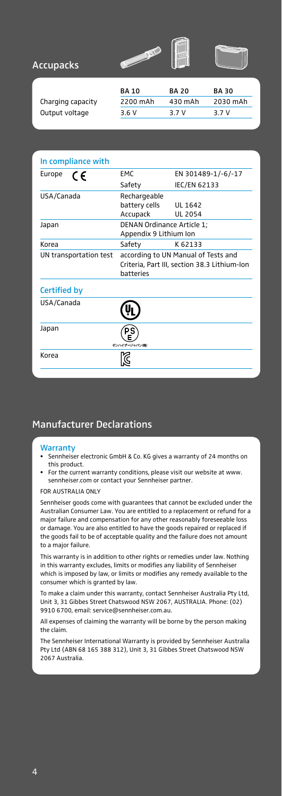



| <b>Accupacks</b> |  |
|------------------|--|
|------------------|--|

|                   | <b>BA 10</b> | <b>BA 20</b> | <b>BA30</b> |
|-------------------|--------------|--------------|-------------|
| Charging capacity | 2200 mAh     | 430 mAh      | 2030 mAh    |
| Output voltage    | 3.6 V        | 3.7 V        | 3.7 V       |

| In compliance with     |                                                                                                  |                    |  |
|------------------------|--------------------------------------------------------------------------------------------------|--------------------|--|
| Europe<br>C€           | <b>FMC</b>                                                                                       | EN 301489-1/-6/-17 |  |
|                        | Safety                                                                                           | IEC/EN 62133       |  |
| USA/Canada             | Rechargeable                                                                                     |                    |  |
|                        | battery cells                                                                                    | UI 1642            |  |
|                        | Accupack                                                                                         | UL 2054            |  |
| Japan                  | DENAN Ordinance Article 1;<br>Appendix 9 Lithium Ion                                             |                    |  |
| Korea                  | Safety                                                                                           | K 62133            |  |
| UN transportation test | according to UN Manual of Tests and<br>Criteria, Part III, section 38.3 Lithium-Ion<br>hatteries |                    |  |
| Certified by           |                                                                                                  |                    |  |
| USA/Canada             |                                                                                                  |                    |  |
| Japan                  | ゼンハイザージャパン(株)                                                                                    |                    |  |
| Korea                  |                                                                                                  |                    |  |

#### Manufacturer Declarations

#### **Warranty**

- Sennheiser electronic GmbH & Co. KG gives a warranty of 24 months on this product.
- For the current warranty conditions, please visit our website at www. sennheiser.com or contact your Sennheiser partner.

#### FOR AUSTRALIA ONLY

Sennheiser goods come with guarantees that cannot be excluded under the Australian Consumer Law. You are entitled to a replacement or refund for a major failure and compensation for any other reasonably foreseeable loss or damage. You are also entitled to have the goods repaired or replaced if the goods fail to be of acceptable quality and the failure does not amount to a major failure.

This warranty is in addition to other rights or remedies under law. Nothing in this warranty excludes, limits or modifies any liability of Sennheiser which is imposed by law, or limits or modifies any remedy available to the consumer which is granted by law.

To make a claim under this warranty, contact Sennheiser Australia Pty Ltd, Unit 3, 31 Gibbes Street Chatswood NSW 2067, AUSTRALIA. Phone: (02) 9910 6700, email: service@sennheiser.com.au.

All expenses of claiming the warranty will be borne by the person making the claim.

The Sennheiser International Warranty is provided by Sennheiser Australia Pty Ltd (ABN 68 165 388 312), Unit 3, 31 Gibbes Street Chatswood NSW 2067 Australia.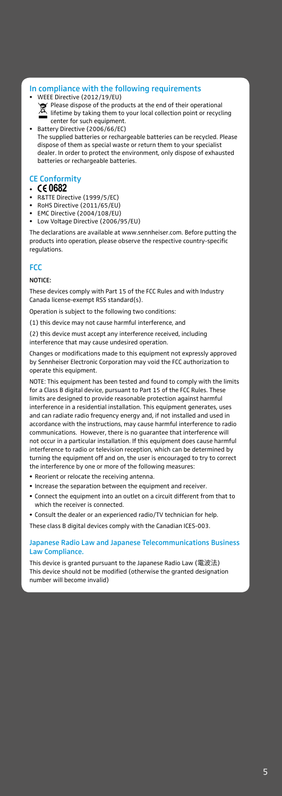#### In compliance with the following requirements

- WEEE Directive (2012/19/EU) Please dispose of the products at the end of their operational lifetime by taking them to your local collection point or recycling center for such equipment.
- Battery Directive (2006/66/EC) The supplied batteries or rechargeable batteries can be recycled. Please dispose of them as special waste or return them to your specialist dealer. In order to protect the environment, only dispose of exhausted batteries or rechargeable batteries.

#### CE Conformity

- **0682**
- R&TTE Directive (1999/5/EC)
- RoHS Directive (2011/65/EU)
- EMC Directive (2004/108/EU)
- Low Voltage Directive (2006/95/EU)

The declarations are available at www.sennheiser.com. Before putting the products into operation, please observe the respective country-specific regulations.

#### **FCC**

#### NOTICE:

These devices comply with Part 15 of the FCC Rules and with Industry Canada license-exempt RSS standard(s).

Operation is subject to the following two conditions:

(1) this device may not cause harmful interference, and

(2) this device must accept any interference received, including interference that may cause undesired operation.

Changes or modifications made to this equipment not expressly approved by Sennheiser Electronic Corporation may void the FCC authorization to operate this equipment.

NOTE: This equipment has been tested and found to comply with the limits for a Class B digital device, pursuant to Part 15 of the FCC Rules. These limits are designed to provide reasonable protection against harmful interference in a residential installation. This equipment generates, uses and can radiate radio frequency energy and, if not installed and used in accordance with the instructions, may cause harmful interference to radio communications. However, there is no guarantee that interference will not occur in a particular installation. If this equipment does cause harmful interference to radio or television reception, which can be determined by turning the equipment off and on, the user is encouraged to try to correct the interference by one or more of the following measures:

- Reorient or relocate the receiving antenna.
- Increase the separation between the equipment and receiver.
- Connect the equipment into an outlet on a circuit different from that to which the receiver is connected.

• Consult the dealer or an experienced radio/TV technician for help.

These class B digital devices comply with the Canadian ICES-003.

#### Japanese Radio Law and Japanese Telecommunications Business Law Compliance.

This device is granted pursuant to the Japanese Radio Law (電波法) This device should not be modified (otherwise the granted designation number will become invalid)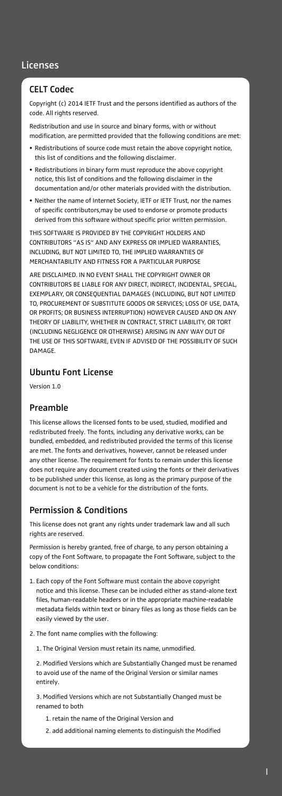#### CELT Codec

Copyright (c) 2014 IETF Trust and the persons identified as authors of the code. All rights reserved.

Redistribution and use in source and binary forms, with or without modification, are permitted provided that the following conditions are met:

- Redistributions of source code must retain the above copyright notice, this list of conditions and the following disclaimer.
- Redistributions in binary form must reproduce the above copyright notice, this list of conditions and the following disclaimer in the documentation and/or other materials provided with the distribution.
- Neither the name of Internet Society, IETF or IETF Trust, nor the names of specific contributors,may be used to endorse or promote products derived from this software without specific prior written permission.

THIS SOFTWARE IS PROVIDED BY THE COPYRIGHT HOLDERS AND CONTRIBUTORS "AS IS" AND ANY EXPRESS OR IMPLIED WARRANTIES, INCLUDING, BUT NOT LIMITED TO, THE IMPLIED WARRANTIES OF MERCHANTABILITY AND FITNESS FOR A PARTICULAR PURPOSE

ARE DISCLAIMED. IN NO EVENT SHALL THE COPYRIGHT OWNER OR CONTRIBUTORS BE LIABLE FOR ANY DIRECT, INDIRECT, INCIDENTAL, SPECIAL, EXEMPLARY, OR CONSEQUENTIAL DAMAGES (INCLUDING, BUT NOT LIMITED TO, PROCUREMENT OF SUBSTITUTE GOODS OR SERVICES; LOSS OF USE, DATA, OR PROFITS; OR BUSINESS INTERRUPTION) HOWEVER CAUSED AND ON ANY THEORY OF LIABILITY, WHETHER IN CONTRACT, STRICT LIABILITY, OR TORT (INCLUDING NEGLIGENCE OR OTHERWISE) ARISING IN ANY WAY OUT OF THE USE OF THIS SOFTWARE, EVEN IF ADVISED OF THE POSSIBILITY OF SUCH **DAMAGE** 

#### Ubuntu Font License

Version 1.0

#### Preamble

This license allows the licensed fonts to be used, studied, modified and redistributed freely. The fonts, including any derivative works, can be bundled, embedded, and redistributed provided the terms of this license are met. The fonts and derivatives, however, cannot be released under any other license. The requirement for fonts to remain under this license does not require any document created using the fonts or their derivatives to be published under this license, as long as the primary purpose of the document is not to be a vehicle for the distribution of the fonts.

#### Permission & Conditions

This license does not grant any rights under trademark law and all such rights are reserved.

Permission is hereby granted, free of charge, to any person obtaining a copy of the Font Software, to propagate the Font Software, subject to the below conditions:

- 1. Each copy of the Font Software must contain the above copyright notice and this license. These can be included either as stand-alone text files, human-readable headers or in the appropriate machine-readable metadata fields within text or binary files as long as those fields can be easily viewed by the user.
- 2. The font name complies with the following:
	- 1. The Original Version must retain its name, unmodified.

2. Modified Versions which are Substantially Changed must be renamed to avoid use of the name of the Original Version or similar names entirely.

3. Modified Versions which are not Substantially Changed must be renamed to both

- 1. retain the name of the Original Version and
- 2. add additional naming elements to distinguish the Modified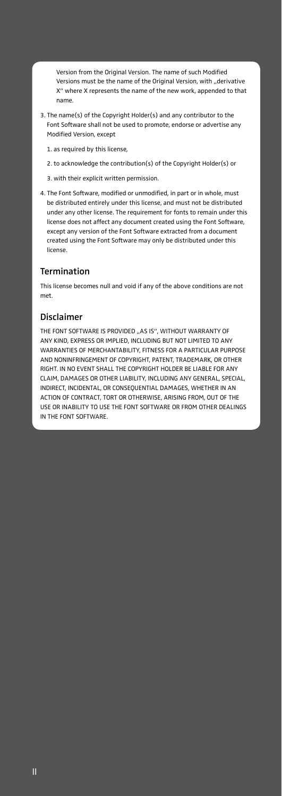Version from the Original Version. The name of such Modified Versions must be the name of the Original Version, with "derivative X" where X represents the name of the new work, appended to that name.

- 3. The name(s) of the Copyright Holder(s) and any contributor to the Font Software shall not be used to promote, endorse or advertise any Modified Version, except
	- 1. as required by this license,
	- 2. to acknowledge the contribution(s) of the Copyright Holder(s) or
	- 3. with their explicit written permission.
- 4. The Font Software, modified or unmodified, in part or in whole, must be distributed entirely under this license, and must not be distributed under any other license. The requirement for fonts to remain under this license does not affect any document created using the Font Software, except any version of the Font Software extracted from a document created using the Font Software may only be distributed under this license.

#### Termination

This license becomes null and void if any of the above conditions are not met.

#### Disclaimer

THE FONT SOFTWARE IS PROVIDED "AS IS", WITHOUT WARRANTY OF ANY KIND, EXPRESS OR IMPLIED, INCLUDING BUT NOT LIMITED TO ANY WARRANTIES OF MERCHANTABILITY, FITNESS FOR A PARTICULAR PURPOSE AND NONINFRINGEMENT OF COPYRIGHT, PATENT, TRADEMARK, OR OTHER RIGHT. IN NO EVENT SHALL THE COPYRIGHT HOLDER BE LIABLE FOR ANY CLAIM, DAMAGES OR OTHER LIABILITY, INCLUDING ANY GENERAL, SPECIAL, INDIRECT, INCIDENTAL, OR CONSEQUENTIAL DAMAGES, WHETHER IN AN ACTION OF CONTRACT, TORT OR OTHERWISE, ARISING FROM, OUT OF THE USE OR INABILITY TO USE THE FONT SOFTWARE OR FROM OTHER DEALINGS IN THE FONT SOFTWARE.